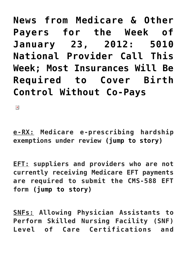**[News from Medicare & Other](https://managemypractice.com/news-from-medicare-most-insurances-will-be-required-to-cover-birth-control-without-co-pays/) [Payers for the Week of](https://managemypractice.com/news-from-medicare-most-insurances-will-be-required-to-cover-birth-control-without-co-pays/) [January 23, 2012: 5010](https://managemypractice.com/news-from-medicare-most-insurances-will-be-required-to-cover-birth-control-without-co-pays/) [National Provider Call This](https://managemypractice.com/news-from-medicare-most-insurances-will-be-required-to-cover-birth-control-without-co-pays/) [Week; Most Insurances Will Be](https://managemypractice.com/news-from-medicare-most-insurances-will-be-required-to-cover-birth-control-without-co-pays/) [Required to Cover Birth](https://managemypractice.com/news-from-medicare-most-insurances-will-be-required-to-cover-birth-control-without-co-pays/) [Control Without Co-Pays](https://managemypractice.com/news-from-medicare-most-insurances-will-be-required-to-cover-birth-control-without-co-pays/)**

 $\pmb{\times}$ 

<span id="page-0-0"></span>**e-RX: Medicare e-prescribing hardship exemptions under review [\(jump to story\)](#page-2-0)**

**EFT: suppliers and providers who are not currently receiving Medicare EFT payments are required to submit the CMS-588 EFT form [\(jump to story\)](#page--1-0)**

**SNFs: Allowing Physician Assistants to Perform Skilled Nursing Facility (SNF) Level of Care Certifications and**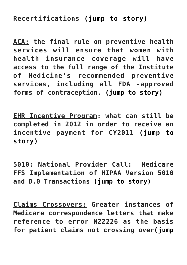### **Recertifications [\(jump to story\)](#page-3-0)**

**ACA: the final rule on preventive health services will ensure that women with health insurance coverage will have access to the full range of the Institute of Medicine's recommended preventive services, including all FDA -approved forms of contraception. [\(jump to story\)](#page-4-0)**

**EHR Incentive Program: what can still be completed in 2012 in order to receive an incentive payment for CY2011 [\(jump to](#page-5-0) [story\)](#page-5-0)**

**5010: National Provider Call: Medicare FFS Implementation of HIPAA Version 5010 and D.0 Transactions [\(jump to story\)](#page-7-0)**

**Claims Crossovers: Greater instances of Medicare correspondence letters that make reference to error N22226 as the basis for patient claims not crossing over[\(jump](#page-8-0)**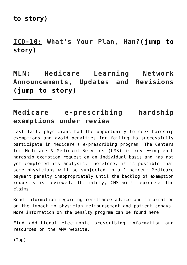**[to story\)](#page-8-0)**

**——————————**

**ICD-10: What's Your Plan, Man?[\(jump to](#page-9-0) [story\)](#page-9-0)**

**MLN: Medicare Learning Network Announcements, Updates and Revisions [\(jump to story\)](#page-11-0)**

### <span id="page-2-0"></span>**Medicare e-prescribing hardship exemptions under review**

Last fall, physicians had the opportunity to seek hardship exemptions and avoid penalties for failing to successfully participate in Medicare's e-prescribing program. The Centers for Medicare & Medicaid Services (CMS) is reviewing each hardship exemption request on an individual basis and has not yet completed its analysis. Therefore, it is possible that some physicians will be subjected to a 1 percent Medicare payment penalty inappropriately until the backlog of exemption requests is reviewed. Ultimately, CMS will reprocess the claims.

Read information regarding [remittance advice](http://www.elabs10.com/c.html?rtr=on&s=x8pbgr,ux4w,43mj,b78q,9spo,8ps1,hame) and [information](http://www.elabs10.com/c.html?rtr=on&s=x8pbgr,ux4w,43mj,act0,cdeq,8ps1,hame) on the impact to physician reimbursement and patient copays. More information on the penalty program can be found [here.](http://www.elabs10.com/c.html?rtr=on&s=x8pbgr,ux4w,43mj,koqp,5hfa,8ps1,hame)

Find additional electronic prescribing information and resources on the [AMA website](http://www.elabs10.com/c.html?rtr=on&s=x8pbgr,ux4w,43mj,ijtc,9kvu,8ps1,hame).

[\(Top\)](#page-0-0)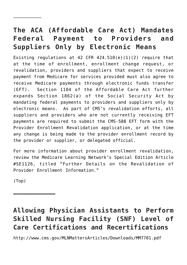# **The ACA (Affordable Care Act) Mandates Federal Payment to Providers and Suppliers Only by Electronic Means**

Existing regulations at 42 CFR  $424.510(e)(1)(2)$  require that at the time of enrollment, enrollment change request, or revalidation, providers and suppliers that expect to receive payment from Medicare for services provided must also agree to receive Medicare payments through electronic funds transfer (EFT). Section 1104 of the Affordable Care Act further expands Section 1862(a) of the Social Security Act by mandating federal payments to providers and suppliers only by electronic means. As part of CMS's revalidation efforts, all suppliers and providers who are not currently receiving EFT payments are required to submit the CMS-588 EFT form with the Provider Enrollment Revalidation application, or at the time any change is being made to the provider enrollment record by the provider or supplier, or delegated official.

For more information about provider enrollment revalidation, review the Medicare Learning Network's [Special Edition Article](http://www.cms.gov/MLNMattersArticles/downloads/SE1126.pdf) [#SE1126](http://www.cms.gov/MLNMattersArticles/downloads/SE1126.pdf), titled "Further Details on the Revalidation of Provider Enrollment Information."

[\(Top\)](#page-0-0)

**——————————–**

——————————–

# <span id="page-3-0"></span>**Allowing Physician Assistants to Perform Skilled Nursing Facility (SNF) Level of Care Certifications and Recertifications**

<http://www.cms.gov/MLNMattersArticles/Downloads/MM7701.pdf>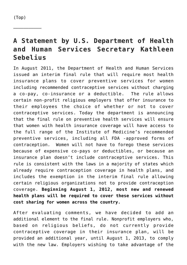<span id="page-4-0"></span>——————————–

# **A Statement by U.S. Department of Health and Human Services Secretary Kathleen Sebelius**

In August 2011, the Department of Health and Human Services issued an interim final rule that will require most health insurance plans to cover preventive services for women including recommended contraceptive services without charging a co-pay, co-insurance or a deductible. The rule allows certain non-profit religious employers that offer insurance to their employees the choice of whether or not to cover contraceptive services. Today the department is announcing that the final rule on preventive health services will ensure that women with health insurance coverage will have access to the full range of the Institute of Medicine's recommended preventive services, including all FDA -approved forms of contraception. Women will not have to forego these services because of expensive co-pays or deductibles, or because an insurance plan doesn't include contraceptive services. This rule is consistent with the laws in a majority of states which already require contraception coverage in health plans, and includes the exemption in the interim final rule allowing certain religious organizations not to provide contraception coverage. **Beginning August 1, 2012, most new and renewed health plans will be required to cover these services without cost sharing for women across the country.**

After evaluating comments, we have decided to add an additional element to the final rule. Nonprofit employers who, based on religious beliefs, do not currently provide contraceptive coverage in their insurance plan, will be provided an additional year, until August 1, 2013, to comply with the new law. Employers wishing to take advantage of the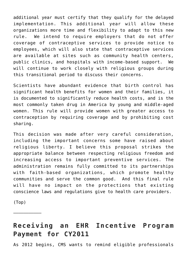additional year must certify that they qualify for the delayed implementation. This additional year will allow these organizations more time and flexibility to adapt to this new rule. We intend to require employers that do not offer coverage of contraceptive services to provide notice to employees, which will also state that contraceptive services are available at sites such as community health centers, public clinics, and hospitals with income-based support. We will continue to work closely with religious groups during this transitional period to discuss their concerns.

Scientists have abundant evidence that birth control has significant health benefits for women and their families, it is documented to significantly reduce health costs, and is the most commonly taken drug in America by young and middle-aged women. This rule will provide women with greater access to contraception by requiring coverage and by prohibiting cost sharing.

This decision was made after very careful consideration, including the important concerns some have raised about religious liberty. I believe this proposal strikes the appropriate balance between respecting religious freedom and increasing access to important preventive services. The administration remains fully committed to its partnerships with faith-based organizations, which promote healthy communities and serve the common good. And this final rule will have no impact on the protections that existing conscience laws and regulations give to health care providers.

[\(Top\)](#page-0-0)

———————————

## <span id="page-5-0"></span>**Receiving an EHR Incentive Program Payment for CY2011**

As 2012 begins, CMS wants to remind eligible professionals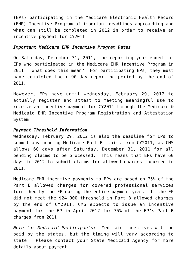(EPs) participating in the Medicare Electronic Health Record (EHR) Incentive Program of important deadlines approaching and what can still be completed in 2012 in order to receive an incentive payment for CY2011.

#### *Important Medicare EHR Incentive Program Dates*

On Saturday, December 31, 2011, the reporting year ended for EPs who participated in the Medicare EHR Incentive Program in 2011. What does this mean? For participating EPs, they must have completed their 90-day reporting period by the end of 2011.

However, EPs have until Wednesday, February 29, 2012 to actually register and attest to meeting meaningful use to receive an incentive payment for CY2011 through the [Medicare &](https://ehrincentives.cms.gov/hitech/login.action) [Medicaid EHR Incentive Program Registration and Attestation](https://ehrincentives.cms.gov/hitech/login.action) [System](https://ehrincentives.cms.gov/hitech/login.action).

#### *Payment Threshold Information*

Wednesday, February 29, 2012 is also the deadline for EPs to submit any pending Medicare Part B claims from CY2011, as CMS allows 60 days after Saturday, December 31, 2011 for all pending claims to be processed. This means that EPs have 60 days in 2012 to submit claims for allowed charges incurred in 2011.

Medicare EHR incentive payments to EPs are based on 75% of the Part B allowed charges for covered professional services furnished by the EP during the entire payment year. If the EP did not meet the \$24,000 threshold in Part B allowed charges by the end of CY2011, CMS expects to issue an incentive payment for the EP in April 2012 for 75% of the EP's Part B charges from 2011.

*Note for Medicaid Participants:* Medicaid incentives will be paid by the states, but the timing will vary according to state. Please contact your State Medicaid Agency for more details about payment.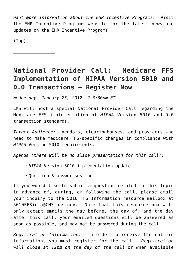*Want more information about the EHR Incentive Programs?* Visit the [EHR Incentive Programs website](http://www.cms.gov/EHRIncentivePrograms) for the latest news and updates on the EHR Incentive Programs.

[\(Top\)](#page-0-0)

**——————————–**

# <span id="page-7-0"></span>**National Provider Call: Medicare FFS Implementation of HIPAA Version 5010 and D.0 Transactions – Register Now**

*Wednesday, January 25, 2012, 2-3:30pm ET*

CMS will host a special National Provider Call regarding the Medicare FFS implementation of *HIPAA* Version 5010 and D.0 transaction standards.

*Target Audience:* Vendors, clearinghouses, and providers who need to make Medicare FFS-specific changes in compliance with *HIPAA* Version 5010 requirements.

*Agenda (there will be no slide presentation for this call):*

- *HIPAA* Version 5010 implementation update
- Question & answer session

If you would like to submit a question related to this topic in advance of, during, or following the call, please email your inquiry to the 5010 FFS Information resource mailbox at [5010FFSinfo@CMS.hhs.gov](mailto:5010FFSinfo@CMS.hhs.gov). Note that this resource box will only accept emails the day before, the day of, and the day after this call; your emailed questions will be answered as soon as possible, and may not be answered during the call.

*Registration Information:* In order to receive the call-in information, you must register for the call. *Registration will close at 12pm on the day of the call* or when available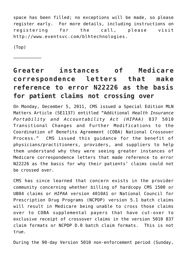space has been filled; no exceptions will be made, so please register early. For more details, including instructions on registering for the call, please visit [http://www.eventsvc.com/blhtechnologies](http://www.eventsvc.com/blhtechnologies/).

[\(Top\)](#page-0-0)

———————————

# <span id="page-8-0"></span>**Greater instances of Medicare correspondence letters that make reference to error N22226 as the basis for patient claims not crossing over**

On Monday, December 5, 2011, CMS issued a Special Edition MLN Matters Article (SE1137) entitled "Additional *Health Insurance Portability and Accountability Act (HIPAA)* 837 5010 Transitional Changes and Further Modifications to the Coordination of Benefits Agreement (COBA) National Crossover Process." CMS issued this guidance for the benefit of physicians/practitioners, providers, and suppliers to help them understand why they were seeing greater instances of Medicare correspondence letters that made reference to error N22226 as the basis for why their patients' claims could not be crossed over.

CMS has since learned that concern exists in the provider community concerning whether billing of hardcopy CMS 1500 or UB04 claims or *HIPAA* version 4010A1 or National Council for Prescription Drug Programs (NCPDP) version 5.1 batch claims will result in Medicare being unable to cross those claims over to COBA supplemental payers that have cut-over to exclusive receipt of crossover claims in the version 5010 837 claim formats or NCPDP D.0 batch claim formats. This is not true.

During the 90-day Version 5010 non-enforcement period (Sunday,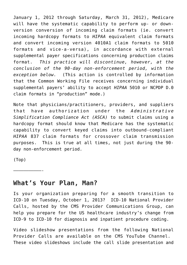January 1, 2012 through Saturday, March 31, 2012), Medicare will have the systematic capability to perform up- or downversion conversion of incoming claim formats (ie. convert incoming hardcopy formats to *HIPAA* equivalent claim formats and convert incoming version 4010A1 claim formats to 5010 formats and vice-a-versa), in accordance with external supplemental payer specifications concerning production claims format. *This practice will discontinue, however, at the conclusion of the 90-day non-enforcement period, with the exception below.* (This action is controlled by information that the Common Working File receives concerning individual supplemental payers' ability to accept *HIPAA* 5010 or NCPDP D.0 claim formats in "production" mode.)

Note that physicians/practitioners, providers, and suppliers that have authorization under the *Administrative Simplification Compliance Act (ASCA)* to submit claims using a hardcopy format should know that Medicare has the systematic capability to convert keyed claims into outbound-compliant *HIPAA* 837 claim formats for crossover claim transmission purposes. This is true at all times, not just during the 90 day non-enforcement period.

[\(Top\)](#page-0-0)

———————————-

### <span id="page-9-0"></span>**What's Your Plan, Man?**

Is your organization preparing for a smooth transition to ICD-10 on Tuesday, October 1, 2013? ICD-10 National Provider Calls, hosted by the CMS Provider Communications Group, can help you prepare for the US healthcare industry's change from ICD-9 to ICD-10 for diagnosis and inpatient procedure coding.

Video slideshow presentations from the following National Provider Calls are available on the [CMS YouTube Channel](http://www.youtube.com/user/CMSHHSGov). These video slideshows include the call slide presentation and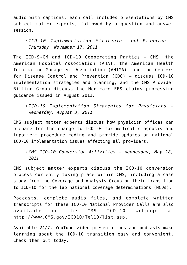audio with captions; each call includes presentations by CMS subject matter experts, followed by a question and answer session.

#### *[ICD-10 Implementation Strategies and Planning](http://www.youtube.com/cmshhsgov#p/search/4/_-wptI2TcWA) – Thursday, November 17, 2011*

The ICD-9-CM and ICD-10 Cooperating Parties – CMS, the American Hospital Association (AHA), the American Health Information Management Association (AHIMA), and the Centers for Disease Control and Prevention (CDC) – discuss ICD-10 implementation strategies and planning, and the CMS Provider Billing Group discuss the Medicare FFS claims processing guidance issued in August 2011.

CMS subject matter experts discuss how physician offices can prepare for the change to ICD-10 for medical diagnosis and inpatient procedure coding and provide updates on national ICD-10 implementation issues affecting all providers.

*[CMS ICD-10 Conversion Activities](http://www.youtube.com/cmshhsgov#p/search/2/IRD_ST_4dZ0) – Wednesday, May 18, 2011*

CMS subject matter experts discuss the ICD-10 conversion process currently taking place within CMS, including a case study from the Coverage and Analysis Group on their transition to ICD-10 for the lab national coverage determinations (NCDs).

Podcasts, complete audio files, and complete written transcripts for these ICD-10 National Provider Calls are also available on the CMS ICD-10 webpage at [http://www.CMS.gov/ICD10/Tel10/list.asp](http://www.cms.gov/ICD10/Tel10/list.asp).

Available 24/7, YouTube video presentations and podcasts make learning about the ICD-10 transition easy and convenient. Check them out today.

*[ICD-10 Implementation Strategies for Physicians](http://www.youtube.com/cmshhsgov#p/search/3/EEgafwrq1uY) – Wednesday, August 3, 2011*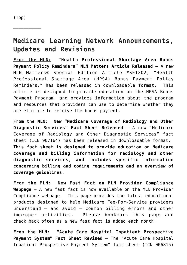<span id="page-11-0"></span>——————————–

### **Medicare Learning Network Announcements, Updates and Revisions**

**From the MLN: "Health Professional Shortage Area Bonus Payment Policy Reminders" MLN Matters Article Released** – A new [MLN Matters® Special Edition Article #SE1202](http://www.cms.gov/MLNMattersArticles/Downloads/SE1202.pdf), "Health Professional Shortage Area (HPSA) Bonus Payment Policy Reminders," has been released in downloadable format. This article is designed to provide education on the HPSA Bonus Payment Program, and provides information about the program and resources that providers can use to determine whether they are eligible to receive the bonus payment.

**From the MLN: New "Medicare Coverage of Radiology and Other Diagnostic Services" Fact Sheet Released** – A new "[Medicare](http://www.cms.gov/MLNProducts/downloads/Radiology_FactSheet_ICN907164.pdf) [Coverage of Radiology and Other Diagnostic Services](http://www.cms.gov/MLNProducts/downloads/Radiology_FactSheet_ICN907164.pdf)" fact sheet (ICN 907164) has been released in downloadable format. **This fact sheet is designed to provide education on Medicare coverage and billing information for radiology and other diagnostic services, and includes specific information concerning billing and coding requirements and an overview of coverage guidelines.**

**From the MLN: New Fast Fact on MLN Provider Compliance Webpage** – A new fast fact is now available on the [MLN Provider](http://www.cms.gov/MLNProducts/45_ProviderCompliance.asp) [Compliance](http://www.cms.gov/MLNProducts/45_ProviderCompliance.asp) webpage. This page provides the latest educational products designed to help Medicare Fee-For-Service providers understand – and avoid – common billing errors and other improper activities. Please bookmark this page and check back often as a new fast fact is added each month!

**From the MLN: "Acute Care Hospital Inpatient Prospective Payment System" Fact Sheet Revised** – The ["Acute Care Hospital](http://www.cms.gov/MLNProducts/downloads/AcutePaymtSysfctsht.pdf) [Inpatient Prospective Payment System"](http://www.cms.gov/MLNProducts/downloads/AcutePaymtSysfctsht.pdf) fact sheet (ICN 006815)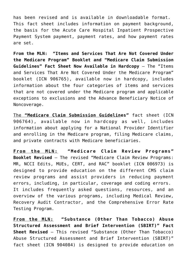has been revised and is available in downloadable format. This fact sheet includes information on payment background, the basis for the Acute Care Hospital Inpatient Prospective Payment System payment, payment rates, and how payment rates are set.

**From the MLN: "Items and Services That Are Not Covered Under the Medicare Program" Booklet and "Medicare Claim Submission Guidelines" Fact Sheet Now Available in Hardcopy** – The "Items and Services That Are Not Covered Under the Medicare Program" booklet (ICN 906765), available now in hardcopy, includes information about the four categories of items and services that are not covered under the Medicare program and applicable exceptions to exclusions and the Advance Beneficiary Notice of Noncoverage.

The **"Medicare Claim Submission Guidelines"** fact sheet (ICN 906764), available now in hardcopy as well, includes information about applying for a National Provider Identifier and enrolling in the Medicare program, filing Medicare claims, and private contracts with Medicare beneficiaries.

**From the MLN: "Medicare Claim Review Programs" Booklet Revised** – The revised "[Medicare Claim Review Programs:](http://www.cms.gov/MLNProducts/downloads/MCRP_Booklet.pdf) [MR, NCCI Edits, MUEs, CERT, and RAC](http://www.cms.gov/MLNProducts/downloads/MCRP_Booklet.pdf)" booklet (ICN 006973) is designed to provide education on the different CMS claim review programs and assist providers in reducing payment errors, including, in particular, coverage and coding errors. It includes frequently asked questions, resources, and an overview of the various programs, including Medical Review, Recovery Audit Contractor, and the Comprehensive Error Rate Testing Program.

**From the MLN: "Substance (Other Than Tobacco) Abuse Structured Assessment and Brief Intervention (SBIRT)" Fact Sheet Revised** – This revised "[Substance \(Other Than Tobacco\)](http://www.cms.gov/MLNProducts/downloads/SBIRT_Factsheet_ICN904084.pdf) [Abuse Structured Assessment and Brief Intervention \(SBIRT\)"](http://www.cms.gov/MLNProducts/downloads/SBIRT_Factsheet_ICN904084.pdf) fact sheet (ICN 904084) is designed to provide education on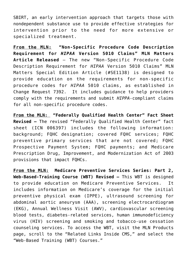SBIRT, an early intervention approach that targets those with nondependent substance use to provide effective strategies for intervention prior to the need for more extensive or specialized treatment.

**From the MLN: "Non-Specific Procedure Code Description Requirement for** *HIPAA* **Version 5010 Claims" MLN Matters Article Released** – The new "[Non-Specific Procedure Code](http://www.cms.gov/Outreach-and-Education/Medicare-Learning-Network-MLN/MLNMattersArticles/Downloads/dwnlds/SE1138.pdf) [Description Requirement for](http://www.cms.gov/Outreach-and-Education/Medicare-Learning-Network-MLN/MLNMattersArticles/Downloads/dwnlds/SE1138.pdf) *[HIPAA](http://www.cms.gov/Outreach-and-Education/Medicare-Learning-Network-MLN/MLNMattersArticles/Downloads/dwnlds/SE1138.pdf)* [Version 5010 Claims"](http://www.cms.gov/Outreach-and-Education/Medicare-Learning-Network-MLN/MLNMattersArticles/Downloads/dwnlds/SE1138.pdf) MLN Matters Special Edition Article (#SE1138) is designed to provide education on the requirements for non-specific procedure codes for *HIPAA* 5010 claims, as established in Change Request 7392. It includes guidance to help providers comply with the requirements and submit *HIPPA*-compliant claims for all non-specific procedure codes.

**From the MLN: "Federally Qualified Health Center" Fact Sheet Revised –** The revised ["Federally Qualified Health Center](http://www.cms.gov/MLNProducts/downloads/fqhcfactsheet.pdf)" fact sheet (ICN 006397) includes the following information: background; FQHC designation; covered FQHC services; FQHC preventive primary services that are not covered; FQHC Prospective Payment System; FQHC payments; and Medicare Prescription Drug, Improvement, and Modernization Act of 2003 provisions that impact FQHCs.

**From the MLN: Medicare Preventive Services Series: Part 2, Web-Based-Training Course (WBT) Revised –** This WBT is designed to provide education on Medicare Preventive Services. It includes information on Medicare's coverage for the initial preventive physical exam (IPPE), ultrasound screening for abdominal aortic aneurysm (AAA), screening electrocardiogram (EKG), Annual Wellness Visit (AWV), cardiovascular screening blood tests, diabetes-related services, human immunodeficiency virus (HIV) screening and smoking and tobacco-use cessation counseling services. To access the WBT, visit the [MLN Products](http://www.cms.gov/MLNProducts/01_Overview.asp) page, scroll to the "Related Links Inside CMS," and select the "Web-Based Training (WBT) Courses."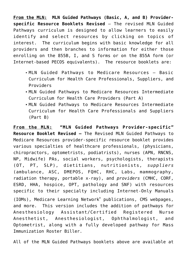**From the MLN: MLN Guided Pathways (Basic, A, and B) Providerspecific Resource Booklets Revised** – The revised MLN Guided Pathways curriculum is designed to allow learners to easily identify and select resources by clicking on topics of interest. The curriculum begins with basic knowledge for all providers and then branches to information for either those enrolling on the 855B, I, and S forms or on the 855A form (or Internet-based PECOS equivalents). The resource booklets are:

- [MLN Guided Pathways to Medicare Resources Basic](http://www.cms.gov/Outreach-and-Education/Medicare-Learning-Network-MLN/MLNEdWebGuide/Downloads/Guided_Pathways_Basic_Booklet.pdf) [Curriculum for Health Care Professionals, Suppliers, and](http://www.cms.gov/Outreach-and-Education/Medicare-Learning-Network-MLN/MLNEdWebGuide/Downloads/Guided_Pathways_Basic_Booklet.pdf) [Providers](http://www.cms.gov/Outreach-and-Education/Medicare-Learning-Network-MLN/MLNEdWebGuide/Downloads/Guided_Pathways_Basic_Booklet.pdf)
- [MLN Guided Pathways to Medicare Resources Intermediate](http://www.cms.gov/Outreach-and-Education/Medicare-Learning-Network-MLN/MLNEdWebGuide/Downloads/Guided_Pathways_Intermediate_PartA_Booklet.pdf) [Curriculum for Health Care Providers](http://www.cms.gov/Outreach-and-Education/Medicare-Learning-Network-MLN/MLNEdWebGuide/Downloads/Guided_Pathways_Intermediate_PartA_Booklet.pdf) (Part A)
- [MLN Guided Pathways to Medicare Resources Intermediate](http://www.cms.gov/Outreach-and-Education/Medicare-Learning-Network-MLN/MLNEdWebGuide/Downloads/Guided_Pathways_Intermediate_PartB_Booklet.pdf) [Curriculum for Health Care Professionals and Suppliers](http://www.cms.gov/Outreach-and-Education/Medicare-Learning-Network-MLN/MLNEdWebGuide/Downloads/Guided_Pathways_Intermediate_PartB_Booklet.pdf) (Part B)

**From the MLN: "MLN Guided Pathways Provider-specific" Resource Booklet Revised –** The Revised [MLN Guided Pathways to](http://www.cms.gov/Outreach-and-Education/Medicare-Learning-Network-MLN/MLNEdWebGuide/Downloads/Guided_Pathways_Provider_Specific_Booklet.pdf) [Medicare Resources](http://www.cms.gov/Outreach-and-Education/Medicare-Learning-Network-MLN/MLNEdWebGuide/Downloads/Guided_Pathways_Provider_Specific_Booklet.pdf) provider-specific resource booklet provides various specialties of healthcare professionals, (physicians, chiropractors, optometrists, podiatrists), nurses (APN, RNCNS, NP, Midwife) PAs, social workers, psychologists, therapists (OT, PT, SLP), dietitians, nutritionists, *suppliers* (ambulance, ASC, DMEPOS, FQHC, RHC, Labs, mammography, radiation therapy, portable x-ray), and *providers* (CMHC, CORF, ESRD, HHA, hospice, OPT, pathology and SNF) with resources specific to their specialty including Internet-Only Manuals

(IOMs), Medicare Learning Network® publications, CMS webpages, and more. This version includes the addition of pathways for Anesthesiology Assistant/Certified Registered Nurse Anesthetist, Anesthesiologist, Ophthalmologist, and Optometrist, along with a fully developed pathway for Mass Immunization Roster Biller.

All of the MLN Guided Pathways booklets above are available at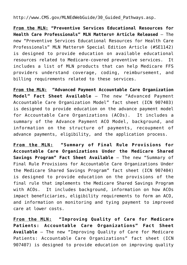[http://www.CMS.gov/MLNEdWebGuide/30\\_Guided\\_Pathways.asp.](http://www.cms.gov/Outreach-and-Education/Medicare-Learning-Network-MLN/MLNEdWebGuide/Guided_Pathways.html)

**From the MLN: "Preventive Services Educational Resources for Health Care Professionals" MLN Matters® Article Released** – The new "[Preventive Services Educational Resources for Health Care](http://www.cms.gov/MLNMattersArticles/Downloads/SE1142.pdf) [Professionals](http://www.cms.gov/MLNMattersArticles/Downloads/SE1142.pdf)" MLN Matters® Special Edition Article (#SE1142) is designed to provide education on available educational resources related to Medicare-covered preventive services. It includes a list of MLN products that can help Medicare FFS providers understand coverage, coding, reimbursement, and billing requirements related to these services.

**From the MLN: "Advanced Payment Accountable Care Organization Model" Fact Sheet Available** – The new "[Advanced Payment](http://www.cms.gov/Medicare/Medicare-Fee-for-Service-Payment/sharedsavingsprogram/Downloads/ACO_Advance_Payment_Factsheet_ICN907403.pdf) [Accountable Care Organization Model](http://www.cms.gov/Medicare/Medicare-Fee-for-Service-Payment/sharedsavingsprogram/Downloads/ACO_Advance_Payment_Factsheet_ICN907403.pdf)" fact sheet (ICN 907403) is designed to provide education on the advance payment model for Accountable Care Organizations (ACOs). It includes a summary of the Advance Payment ACO Model, background, and information on the structure of payments, recoupment of advance payments, eligibility, and the application process.

**From the MLN: "Summary of Final Rule Provisions for Accountable Care Organizations Under the Medicare Shared Savings Program" Fact Sheet Available** – The new "[Summary of](http://www.cms.gov/Medicare/Medicare-Fee-for-Service-Payment/sharedsavingsprogram/Downloads/ACO_Summary_Factsheet_ICN907404.pdf) [Final Rule Provisions for Accountable Care Organizations Under](http://www.cms.gov/Medicare/Medicare-Fee-for-Service-Payment/sharedsavingsprogram/Downloads/ACO_Summary_Factsheet_ICN907404.pdf) [the Medicare Shared Savings Program"](http://www.cms.gov/Medicare/Medicare-Fee-for-Service-Payment/sharedsavingsprogram/Downloads/ACO_Summary_Factsheet_ICN907404.pdf) fact sheet (ICN 907404) is designed to provide education on the provisions of the final rule that implements the Medicare Shared Savings Program with ACOs. It includes background, information on how ACOs impact beneficiaries, eligibility requirements to form an ACO, and information on monitoring and tying payment to improved care at lower costs.

**From the MLN: "Improving Quality of Care for Medicare Patients: Accountable Care Organizations" Fact Sheet Available** – The new "[Improving Quality of Care for Medicare](http://www.cms.gov/Medicare/Medicare-Fee-for-Service-Payment/sharedsavingsprogram/Downloads/ACO_Quality_Factsheet_ICN907407.pdf) [Patients: Accountable Care Organizations"](http://www.cms.gov/Medicare/Medicare-Fee-for-Service-Payment/sharedsavingsprogram/Downloads/ACO_Quality_Factsheet_ICN907407.pdf) fact sheet (ICN 907407) is designed to provide education on improving quality